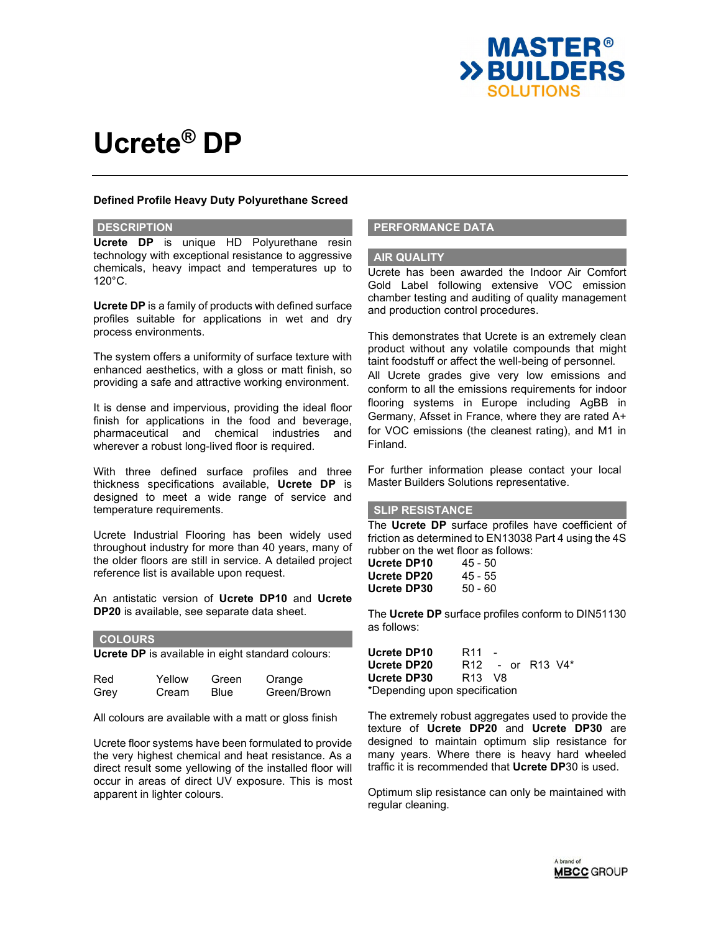

#### **Defined Profile Heavy Duty Polyurethane Screed**

#### **DESCRIPTION**

**Ucrete DP** is unique HD Polyurethane resin technology with exceptional resistance to aggressive chemicals, heavy impact and temperatures up to 120°C.

**Ucrete DP** is a family of products with defined surface profiles suitable for applications in wet and dry process environments.

The system offers a uniformity of surface texture with enhanced aesthetics, with a gloss or matt finish, so providing a safe and attractive working environment.

It is dense and impervious, providing the ideal floor finish for applications in the food and beverage, pharmaceutical and chemical industries and wherever a robust long-lived floor is required.

With three defined surface profiles and three thickness specifications available, **Ucrete DP** is designed to meet a wide range of service and temperature requirements.

Ucrete Industrial Flooring has been widely used throughout industry for more than 40 years, many of the older floors are still in service. A detailed project reference list is available upon request.

An antistatic version of **Ucrete DP10** and **Ucrete DP20** is available, see separate data sheet.

| <b>COLOURS</b>                                    |                 |               |                       |  |  |
|---------------------------------------------------|-----------------|---------------|-----------------------|--|--|
| Ucrete DP is available in eight standard colours: |                 |               |                       |  |  |
| Red<br>Grey                                       | Yellow<br>Cream | Green<br>Blue | Orange<br>Green/Brown |  |  |

All colours are available with a matt or gloss finish

Ucrete floor systems have been formulated to provide the very highest chemical and heat resistance. As a direct result some yellowing of the installed floor will occur in areas of direct UV exposure. This is most apparent in lighter colours.

### **PERFORMANCE DATA**

#### **AIR QUALITY**

Ucrete has been awarded the Indoor Air Comfort Gold Label following extensive VOC emission chamber testing and auditing of quality management and production control procedures.

This demonstrates that Ucrete is an extremely clean product without any volatile compounds that might taint foodstuff or affect the well-being of personnel. All Ucrete grades give very low emissions and conform to all the emissions requirements for indoor flooring systems in Europe including AgBB in Germany, Afsset in France, where they are rated A+ for VOC emissions (the cleanest rating), and M1 in Finland.

For further information please contact your local Master Builders Solutions representative.

# **SLIP RESISTANCE**

The **Ucrete DP** surface profiles have coefficient of friction as determined to EN13038 Part 4 using the 4S rubber on the wet floor as follows:

| Ucrete DP10 | 45 - 50 |
|-------------|---------|
| Ucrete DP20 | 45 - 55 |
| Ucrete DP30 | 50 - 60 |

The **Ucrete DP** surface profiles conform to DIN51130 as follows:

**Ucrete DP10** R11 **Ucrete DP20** R12 - or R13 V4\* **Ucrete DP30** R13 V8 \*Depending upon specification

The extremely robust aggregates used to provide the texture of **Ucrete DP20** and **Ucrete DP30** are designed to maintain optimum slip resistance for many years. Where there is heavy hard wheeled traffic it is recommended that **Ucrete DP**30 is used.

Optimum slip resistance can only be maintained with regular cleaning.

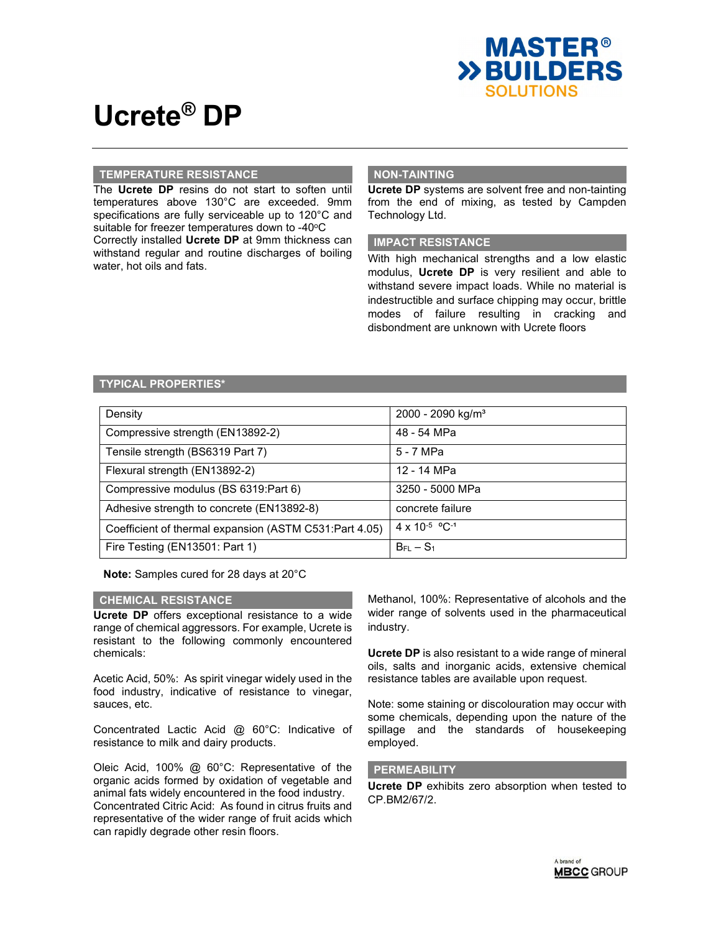

### **TEMPERATURE RESISTANCE**

The **Ucrete DP** resins do not start to soften until temperatures above 130°C are exceeded. 9mm specifications are fully serviceable up to 120°C and suitable for freezer temperatures down to -40°C

Correctly installed **Ucrete DP** at 9mm thickness can withstand regular and routine discharges of boiling water, hot oils and fats.

# **NON-TAINTING**

**Ucrete DP** systems are solvent free and non-tainting from the end of mixing, as tested by Campden Technology Ltd.

## **IMPACT RESISTANCE**

With high mechanical strengths and a low elastic modulus, **Ucrete DP** is very resilient and able to withstand severe impact loads. While no material is indestructible and surface chipping may occur, brittle modes of failure resulting in cracking and disbondment are unknown with Ucrete floors

# **TYPICAL PROPERTIES\***

| Density                                                | 2000 - 2090 kg/m <sup>3</sup> |
|--------------------------------------------------------|-------------------------------|
| Compressive strength (EN13892-2)                       | 48 - 54 MPa                   |
| Tensile strength (BS6319 Part 7)                       | 5 - 7 MPa                     |
| Flexural strength (EN13892-2)                          | 12 - 14 MPa                   |
| Compressive modulus (BS 6319:Part 6)                   | 3250 - 5000 MPa               |
| Adhesive strength to concrete (EN13892-8)              | concrete failure              |
| Coefficient of thermal expansion (ASTM C531:Part 4.05) | 4 x 10-5 °C-1                 |
| Fire Testing (EN13501: Part 1)                         | $B_{FL} - S_1$                |

**Note:** Samples cured for 28 days at 20°C

#### **CHEMICAL RESISTANCE**

**Ucrete DP** offers exceptional resistance to a wide range of chemical aggressors. For example, Ucrete is resistant to the following commonly encountered chemicals:

Acetic Acid, 50%: As spirit vinegar widely used in the food industry, indicative of resistance to vinegar, sauces, etc.

Concentrated Lactic Acid @ 60°C: Indicative of resistance to milk and dairy products.

Oleic Acid, 100% @ 60°C: Representative of the organic acids formed by oxidation of vegetable and animal fats widely encountered in the food industry. Concentrated Citric Acid: As found in citrus fruits and representative of the wider range of fruit acids which can rapidly degrade other resin floors.

Methanol, 100%: Representative of alcohols and the wider range of solvents used in the pharmaceutical industry.

**Ucrete DP** is also resistant to a wide range of mineral oils, salts and inorganic acids, extensive chemical resistance tables are available upon request.

Note: some staining or discolouration may occur with some chemicals, depending upon the nature of the spillage and the standards of housekeeping employed.

## **PERMEABILITY**

**Ucrete DP** exhibits zero absorption when tested to CP.BM2/67/2.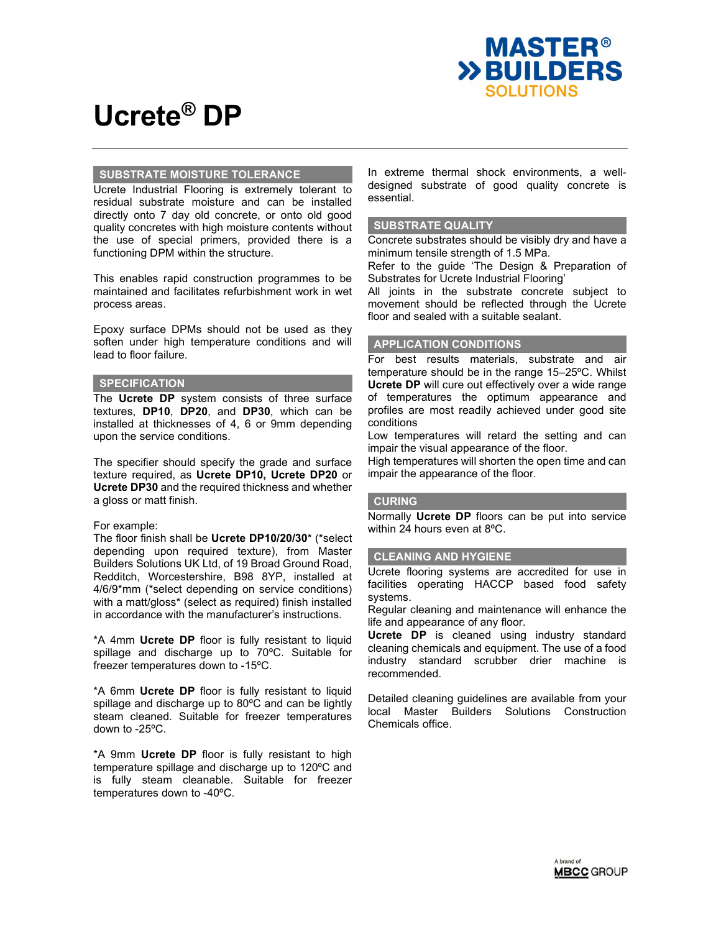

### **SUBSTRATE MOISTURE TOLERANCE**

Ucrete Industrial Flooring is extremely tolerant to residual substrate moisture and can be installed directly onto 7 day old concrete, or onto old good quality concretes with high moisture contents without the use of special primers, provided there is a functioning DPM within the structure.

This enables rapid construction programmes to be maintained and facilitates refurbishment work in wet process areas.

Epoxy surface DPMs should not be used as they soften under high temperature conditions and will lead to floor failure.

#### **SPECIFICATION**

The **Ucrete DP** system consists of three surface textures, **DP10**, **DP20**, and **DP30**, which can be installed at thicknesses of 4, 6 or 9mm depending upon the service conditions.

The specifier should specify the grade and surface texture required, as **Ucrete DP10, Ucrete DP20** or **Ucrete DP30** and the required thickness and whether a gloss or matt finish.

#### For example:

The floor finish shall be **Ucrete DP10/20/30**\* (\*select depending upon required texture), from Master Builders Solutions UK Ltd, of 19 Broad Ground Road, Redditch, Worcestershire, B98 8YP, installed at 4/6/9\*mm (\*select depending on service conditions) with a matt/gloss\* (select as required) finish installed in accordance with the manufacturer's instructions.

\*A 4mm **Ucrete DP** floor is fully resistant to liquid spillage and discharge up to 70ºC. Suitable for freezer temperatures down to -15ºC.

\*A 6mm **Ucrete DP** floor is fully resistant to liquid spillage and discharge up to 80ºC and can be lightly steam cleaned. Suitable for freezer temperatures down to -25ºC.

\*A 9mm **Ucrete DP** floor is fully resistant to high temperature spillage and discharge up to 120ºC and is fully steam cleanable. Suitable for freezer temperatures down to -40ºC.

In extreme thermal shock environments, a welldesigned substrate of good quality concrete is essential.

#### **SUBSTRATE QUALITY**

Concrete substrates should be visibly dry and have a minimum tensile strength of 1.5 MPa.

Refer to the guide 'The Design & Preparation of Substrates for Ucrete Industrial Flooring'

All joints in the substrate concrete subject to movement should be reflected through the Ucrete floor and sealed with a suitable sealant.

### **APPLICATION CONDITIONS**

For best results materials, substrate and air temperature should be in the range 15–25ºC. Whilst **Ucrete DP** will cure out effectively over a wide range of temperatures the optimum appearance and profiles are most readily achieved under good site conditions

Low temperatures will retard the setting and can impair the visual appearance of the floor.

High temperatures will shorten the open time and can impair the appearance of the floor.

#### **CURING**

Normally **Ucrete DP** floors can be put into service within 24 hours even at 8ºC.

#### **CLEANING AND HYGIENE**

Ucrete flooring systems are accredited for use in facilities operating HACCP based food safety systems.

Regular cleaning and maintenance will enhance the life and appearance of any floor.

**Ucrete DP** is cleaned using industry standard cleaning chemicals and equipment. The use of a food industry standard scrubber drier machine is recommended.

Detailed cleaning guidelines are available from your local Master Builders Solutions Construction Chemicals office.